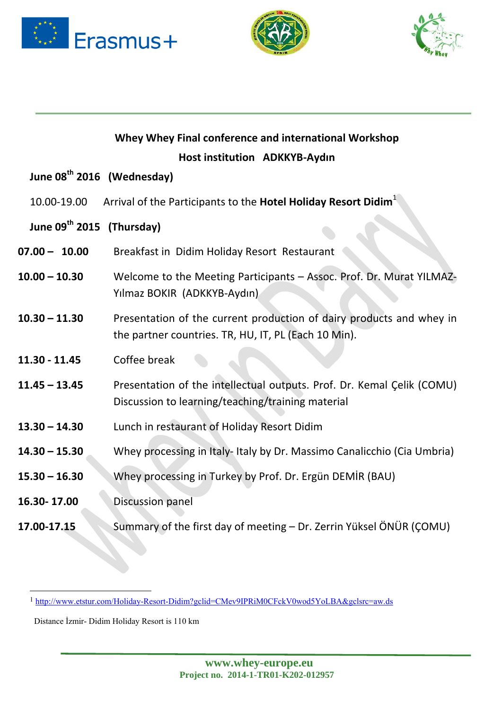





|                                       | Host institution ADKKYB-Aydın                                                                                                |
|---------------------------------------|------------------------------------------------------------------------------------------------------------------------------|
|                                       | June 08 <sup>th</sup> 2016 (Wednesday)                                                                                       |
| 10.00-19.00                           | Arrival of the Participants to the Hotel Holiday Resort Didim <sup>1</sup>                                                   |
| June 09 <sup>th</sup> 2015 (Thursday) |                                                                                                                              |
| $07.00 - 10.00$                       | Breakfast in Didim Holiday Resort Restaurant                                                                                 |
| $10.00 - 10.30$                       | Welcome to the Meeting Participants - Assoc. Prof. Dr. Murat YILMAZ-<br>Yılmaz BOKIR (ADKKYB-Aydın)                          |
| $10.30 - 11.30$                       | Presentation of the current production of dairy products and whey in<br>the partner countries. TR, HU, IT, PL (Each 10 Min). |
| $11.30 - 11.45$                       | Coffee break                                                                                                                 |
| $11.45 - 13.45$                       | Presentation of the intellectual outputs. Prof. Dr. Kemal Çelik (COMU)<br>Discussion to learning/teaching/training material  |

**Whey Whey Final conference and international Workshop**

- **13.30 – 14.30**  Lunch in restaurant of Holiday Resort Didim
- **14.30 – 15.30** Whey processing in Italy‐ Italy by Dr. Massimo Canalicchio (Cia Umbria)
- **15.30 – 16.30**  Whey processing in Turkey by Prof. Dr. Ergün DEMİR (BAU)
- **16.30‐ 17.00**  Discussion panel
- **17.00‐17.15** Summary of the first day of meeting Dr. Zerrin Yüksel ÖNÜR (ÇOMU)

1 http://www.etstur.com/Holiday-Resort-Didim?gclid=CMev9IPRiM0CFckV0wod5YoLBA&gclsrc=aw.ds

Distance İzmir- Didim Holiday Resort is 110 km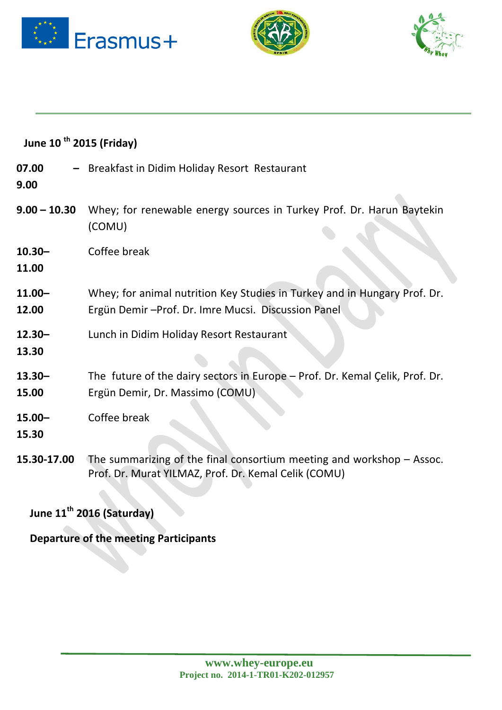





| June 10 <sup>th</sup> 2015 (Friday) |                                                                                                                                   |
|-------------------------------------|-----------------------------------------------------------------------------------------------------------------------------------|
| 07.00<br>9.00                       | - Breakfast in Didim Holiday Resort Restaurant                                                                                    |
| $9.00 - 10.30$                      | Whey; for renewable energy sources in Turkey Prof. Dr. Harun Baytekin<br>(COMU)                                                   |
| $10.30 -$<br>11.00                  | Coffee break                                                                                                                      |
| $11.00 -$<br>12.00                  | Whey; for animal nutrition Key Studies in Turkey and in Hungary Prof. Dr.<br>Ergün Demir - Prof. Dr. Imre Mucsi. Discussion Panel |
| $12.30 -$<br>13.30                  | Lunch in Didim Holiday Resort Restaurant                                                                                          |
| $13.30 -$<br>15.00                  | The future of the dairy sectors in Europe - Prof. Dr. Kemal Çelik, Prof. Dr.<br>Ergün Demir, Dr. Massimo (COMU)                   |
| $15.00 -$<br>15.30                  | Coffee break                                                                                                                      |
| 15.30-17.00                         | The summarizing of the final consortium meeting and workshop $-$ Assoc.<br>Prof. Dr. Murat YILMAZ, Prof. Dr. Kemal Celik (COMU)   |

## **June 11th 2016 (Saturday)**

**Departure of the meeting Participants**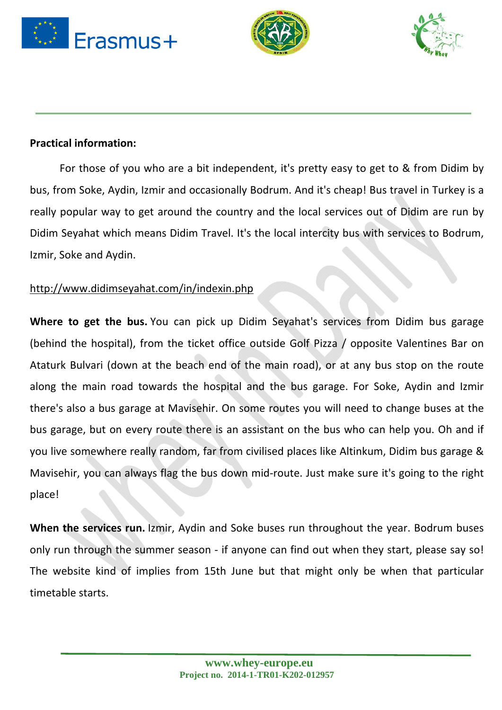





## **Practical information:**

For those of you who are a bit independent, it's pretty easy to get to & from Didim by bus, from Soke, Aydin, Izmir and occasionally Bodrum. And it's cheap! Bus travel in Turkey is a really popular way to get around the country and the local services out of Didim are run by Didim Seyahat which means Didim Travel. It's the local intercity bus with services to Bodrum, Izmir, Soke and Aydin.

## http://www.didimseyahat.com/in/indexin.php

**Where to get the bus.** You can pick up Didim Seyahat's services from Didim bus garage (behind the hospital), from the ticket office outside Golf Pizza / opposite Valentines Bar on Ataturk Bulvari (down at the beach end of the main road), or at any bus stop on the route along the main road towards the hospital and the bus garage. For Soke, Aydin and Izmir there's also a bus garage at Mavisehir. On some routes you will need to change buses at the bus garage, but on every route there is an assistant on the bus who can help you. Oh and if you live somewhere really random, far from civilised places like Altinkum, Didim bus garage & Mavisehir, you can always flag the bus down mid‐route. Just make sure it's going to the right place!

**When the services run.** Izmir, Aydin and Soke buses run throughout the year. Bodrum buses only run through the summer season ‐ if anyone can find out when they start, please say so! The website kind of implies from 15th June but that might only be when that particular timetable starts.